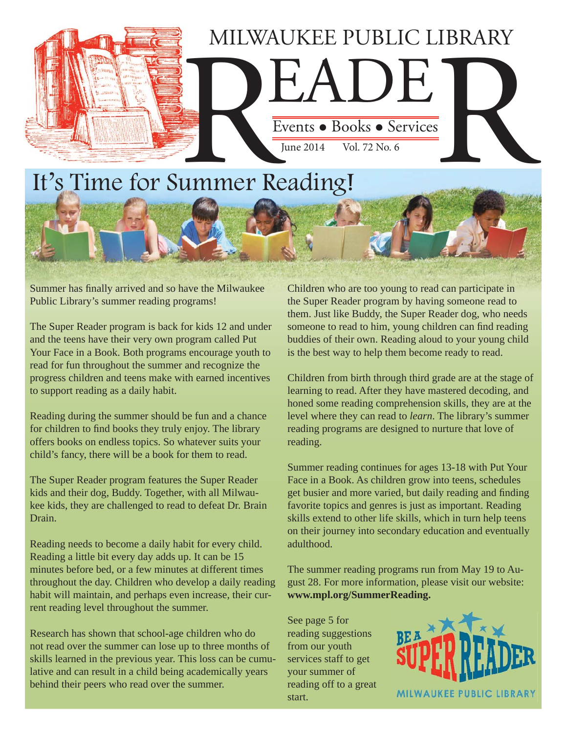## MILWAUKEE PUBLIC LIBRARY

Events • Books • Services Events . Books . Services Vol. 72 No. 6

# It's Time for Summer Reading!

Summer has finally arrived and so have the Milwaukee Public Library's summer reading programs!

The Super Reader program is back for kids 12 and under and the teens have their very own program called Put Your Face in a Book. Both programs encourage youth to read for fun throughout the summer and recognize the progress children and teens make with earned incentives to support reading as a daily habit.

Reading during the summer should be fun and a chance for children to find books they truly enjoy. The library offers books on endless topics. So whatever suits your child's fancy, there will be a book for them to read.

The Super Reader program features the Super Reader kids and their dog, Buddy. Together, with all Milwaukee kids, they are challenged to read to defeat Dr. Brain Drain.

Reading needs to become a daily habit for every child. Reading a little bit every day adds up. It can be 15 minutes before bed, or a few minutes at different times throughout the day. Children who develop a daily reading habit will maintain, and perhaps even increase, their current reading level throughout the summer.

Research has shown that school-age children who do not read over the summer can lose up to three months of skills learned in the previous year. This loss can be cumulative and can result in a child being academically years behind their peers who read over the summer.

Children who are too young to read can participate in the Super Reader program by having someone read to them. Just like Buddy, the Super Reader dog, who needs someone to read to him, young children can find reading buddies of their own. Reading aloud to your young child is the best way to help them become ready to read.

Children from birth through third grade are at the stage of learning to read. After they have mastered decoding, and honed some reading comprehension skills, they are at the level where they can read to *learn*. The library's summer reading programs are designed to nurture that love of reading.

Summer reading continues for ages 13-18 with Put Your Face in a Book. As children grow into teens, schedules get busier and more varied, but daily reading and finding favorite topics and genres is just as important. Reading skills extend to other life skills, which in turn help teens on their journey into secondary education and eventually adulthood.

The summer reading programs run from May 19 to August 28. For more information, please visit our website: **www.mpl.org/SummerReading.**

See page 5 for reading suggestions from our youth services staff to get your summer of reading off to a great start.

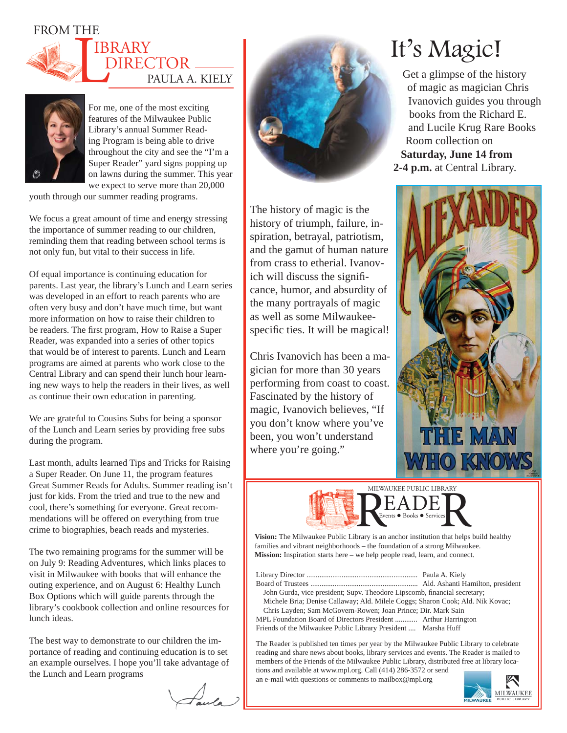FROM THE





For me, one of the most exciting features of the Milwaukee Public Library's annual Summer Reading Program is being able to drive throughout the city and see the "I'm a Super Reader" yard signs popping up on lawns during the summer. This year we expect to serve more than 20,000

youth through our summer reading programs.

We focus a great amount of time and energy stressing the importance of summer reading to our children, reminding them that reading between school terms is not only fun, but vital to their success in life.

Of equal importance is continuing education for parents. Last year, the library's Lunch and Learn series was developed in an effort to reach parents who are often very busy and don't have much time, but want more information on how to raise their children to be readers. The first program, How to Raise a Super Reader, was expanded into a series of other topics that would be of interest to parents. Lunch and Learn programs are aimed at parents who work close to the Central Library and can spend their lunch hour learning new ways to help the readers in their lives, as well as continue their own education in parenting.

We are grateful to Cousins Subs for being a sponsor of the Lunch and Learn series by providing free subs during the program.

Last month, adults learned Tips and Tricks for Raising a Super Reader. On June 11, the program features Great Summer Reads for Adults. Summer reading isn't just for kids. From the tried and true to the new and cool, there's something for everyone. Great recommendations will be offered on everything from true crime to biographies, beach reads and mysteries.

The two remaining programs for the summer will be on July 9: Reading Adventures, which links places to visit in Milwaukee with books that will enhance the outing experience, and on August 6: Healthy Lunch Box Options which will guide parents through the library's cookbook collection and online resources for lunch ideas.

The best way to demonstrate to our children the importance of reading and continuing education is to set an example ourselves. I hope you'll take advantage of the Lunch and Learn programs

 $\omega$ 



The history of magic is the history of triumph, failure, inspiration, betrayal, patriotism, and the gamut of human nature from crass to etherial. Ivanovich will discuss the significance, humor, and absurdity of the many portrayals of magic as well as some Milwaukeespecific ties. It will be magical!

Chris Ivanovich has been a magician for more than 30 years performing from coast to coast. Fascinated by the history of magic, Ivanovich believes, "If you don't know where you've been, you won't understand where you're going."

# It's Magic!

Get a glimpse of the history of magic as magician Chris Ivanovich guides you through books from the Richard E. and Lucile Krug Rare Books Room collection on **Saturday, June 14 from 2-4 p.m.** at Central Library.





**Vision:** The Milwaukee Public Library is an anchor institution that helps build healthy families and vibrant neighborhoods – the foundation of a strong Milwaukee. **Mission:** Inspiration starts here – we help people read, learn, and connect.

Library Director ............................................................ Paula A. Kiely Board of Trustees .......................................................... Ald. Ashanti Hamilton, president John Gurda, vice president; Supv. Theodore Lipscomb, financial secretary; Michele Bria; Denise Callaway; Ald. Milele Coggs; Sharon Cook; Ald. Nik Kovac; Chris Layden; Sam McGovern-Rowen; Joan Prince; Dir. Mark Sain MPL Foundation Board of Directors President ............ Arthur Harrington Friends of the Milwaukee Public Library President .... Marsha Huff

The Reader is published ten times per year by the Milwaukee Public Library to celebrate reading and share news about books, library services and events. The Reader is mailed to members of the Friends of the Milwaukee Public Library, distributed free at library locations and available at www.mpl.org. Call (414) 286-3572 or send an e-mail with questions or comments to mailbox@mpl.org

**MILWAUKEE**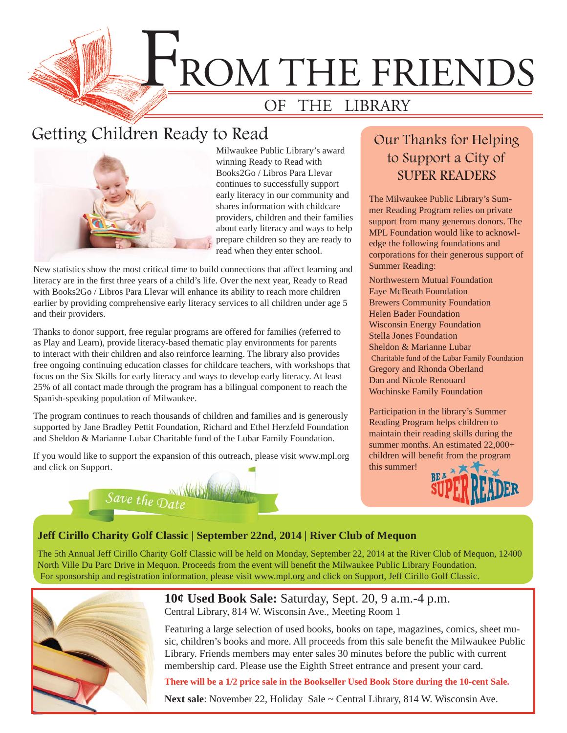

## Getting Children Ready to Read Our Thanks for Helping



Milwaukee Public Library's award winning Ready to Read with Books2Go / Libros Para Llevar continues to successfully support early literacy in our community and shares information with childcare providers, children and their families about early literacy and ways to help prepare children so they are ready to read when they enter school.

New statistics show the most critical time to build connections that affect learning and literacy are in the first three years of a child's life. Over the next year, Ready to Read with Books2Go / Libros Para Llevar will enhance its ability to reach more children earlier by providing comprehensive early literacy services to all children under age 5 and their providers.

Thanks to donor support, free regular programs are offered for families (referred to as Play and Learn), provide literacy-based thematic play environments for parents to interact with their children and also reinforce learning. The library also provides free ongoing continuing education classes for childcare teachers, with workshops that focus on the Six Skills for early literacy and ways to develop early literacy. At least 25% of all contact made through the program has a bilingual component to reach the Spanish-speaking population of Milwaukee.

The program continues to reach thousands of children and families and is generously supported by Jane Bradley Pettit Foundation, Richard and Ethel Herzfeld Foundation and Sheldon & Marianne Lubar Charitable fund of the Lubar Family Foundation.

If you would like to support the expansion of this outreach, please visit www.mpl.org and click on Support.

Save the  $\overline{Date}$ 

## to Support a City of SUPER READERS

The Milwaukee Public Library's Summer Reading Program relies on private support from many generous donors. The MPL Foundation would like to acknowledge the following foundations and corporations for their generous support of Summer Reading:

Northwestern Mutual Foundation Faye McBeath Foundation Brewers Community Foundation Helen Bader Foundation Wisconsin Energy Foundation Stella Jones Foundation Sheldon & Marianne Lubar Charitable fund of the Lubar Family Foundation Gregory and Rhonda Oberland Dan and Nicole Renouard Wochinske Family Foundation

Participation in the library's Summer Reading Program helps children to maintain their reading skills during the summer months. An estimated 22,000+ children will benefit from the program this summer!



## **Jeff Cirillo Charity Golf Classic | September 22nd, 2014 | River Club of Mequon**

The 5th Annual Jeff Cirillo Charity Golf Classic will be held on Monday, September 22, 2014 at the River Club of Mequon, 12400 North Ville Du Parc Drive in Mequon. Proceeds from the event will benefit the Milwaukee Public Library Foundation. For sponsorship and registration information, please visit www.mpl.org and click on Support, Jeff Cirillo Golf Classic.



## **10¢ Used Book Sale:** Saturday, Sept. 20, 9 a.m.-4 p.m. Central Library, 814 W. Wisconsin Ave., Meeting Room 1

Featuring a large selection of used books, books on tape, magazines, comics, sheet music, children's books and more. All proceeds from this sale benefit the Milwaukee Public Library. Friends members may enter sales 30 minutes before the public with current membership card. Please use the Eighth Street entrance and present your card.

### **There will be a 1/2 price sale in the Bookseller Used Book Store during the 10-cent Sale.**

**Next sale:** November 22, Holiday Sale ~ Central Library, 814 W. Wisconsin Ave.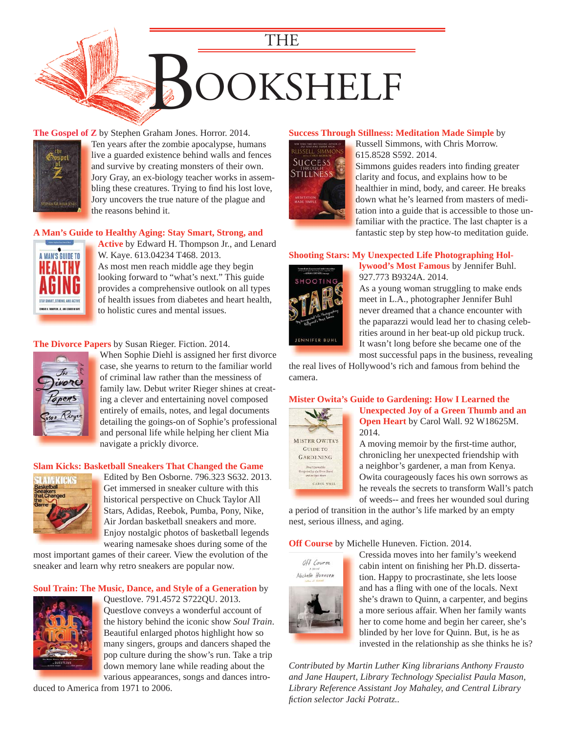

#### **The Gospel of Z** by Stephen Graham Jones. Horror. 2014.



Ten years after the zombie apocalypse, humans T live a guarded existence behind walls and fences l and survive by creating monsters of their own. a [Jory Gray, an ex-biology teacher works in assem-](https://encore.mcfls.org/iii/encore/record/C__Rb3732822)J bling these creatures. Trying to find his lost love, Jory uncovers the true nature of the plague and J the reasons behind it.

#### **[A Man's Guide to Healthy Aging: Stay Smart, Strong, and](https://encore.mcfls.org/iii/encore/record/C__Rb3701917)**



**Active** by Edward H. Thompson Jr., and Lenard W. Kaye. 613.04234 T468. 2013. As most men reach middle age they begin looking forward to "what's next." This guide provides a comprehensive outlook on all types of health issues from diabetes and heart health, to holistic cures and mental issues.

#### **The Divorce Papers** by Susan Rieger. Fiction. 2014.



When Sophie Diehl is assigned her first divorce case, she yearns to return to the familiar world of criminal law rather than the messiness of family law. Debut writer Rieger shines at creating a clever and entertaining novel composed entirely of emails, notes, and legal documents [detailing the goings-on of Sophie's professional](https://encore.mcfls.org/iii/encore/record/C__Rb3730259)  and personal life while helping her client Mia navigate a prickly divorce. n

#### **Slam Kicks: Basketball Sneakers That Changed the Game**



Edited by Ben Osborne. 796.323 S632. 2013. Get immersed in sneaker culture with this historical perspective on Chuck Taylor All Stars, Adidas, Reebok, Pumba, Pony, Nike, Air Jordan basketball sneakers and more. Enjoy nostalgic photos of basketball legends wearing namesake shoes during some of the

[most important games of their career. View the evolution of the](https://encore.mcfls.org/iii/encore/record/C__Rb3736644)  sneaker and learn why retro sneakers are popular now.

#### **[Soul Train: The Music, Dance, and Style of a Generation](https://encore.mcfls.org/iii/encore/record/C__Rb3736644)** by



Questlove. 791.4572 S722QU. 2013. Questlove conveys a wonderful account of the history behind the iconic show *Soul Train*. t Beautiful enlarged photos highlight how so B many singers, groups and dancers shaped the m pop culture during the show's run. Take a trip p down memory lane while reading about the various appearances, songs and dances intro-v

duced to America from 1971 to 2006.

#### **[Success Through Stillness: Meditation Made Simple](https://encore.mcfls.org/iii/encore/record/C__Rb3732559)** by



Russell Simmons, with Chris Morrow. R 615.8528 S592. 2014. 6 Simmons guides readers into finding greater clarity and focus, and explains how to be c healthier in mind, body, and career. He breaks h down what he's learned from masters of medi-d tation into a guide that is accessible to those un-t familiar with the practice. The last chapter is a f fantastic step by step how-to meditation guide. f

#### **Shooting Stars: My Unexpected Life Photographing Hol-**



**lywood's Most Famous** by Jennifer Buhl. 927.773 B9324A. 2014.

As a young woman struggling to make ends meet in L.A., photographer Jennifer Buhl never dreamed that a chance encounter with the paparazzi would lead her to chasing celebrities around in her beat-up old pickup truck. It wasn't long before she became one of the most successful paps in the business, revealing

[the real lives of Hollywood's rich and famous from behind the](https://encore.mcfls.org/iii/encore/record/C__Rb3732988)  camera.

#### **Mister Owita's Guide to Gardening: How I Learned the**



**Unexpected Joy of a Green Thumb and an Open Heart** by Carol Wall. 92 W18625M. 2014.

A moving memoir by the first-time author, chronicling her unexpected friendship with a neighbor's gardener, a man from Kenya. Owita courageously faces his own sorrows as he reveals the secrets to transform Wall's patch of weeds-- and frees her wounded soul during

[a period of transition in the author's life marked by an empty](https://encore.mcfls.org/iii/encore/record/C__Rb3729367)  nest, serious illness, and aging.

#### **Off Course** by Michelle Huneven. Fiction. 2014.



Cressida moves into her family's weekend cabin intent on finishing her Ph.D. dissertation. Happy to procrastinate, she lets loose and has a fling with one of the locals. Next she's drawn to Quinn, a carpenter, and begins a more serious affair. When her family wants her to come home and begin her career, she's blinded by her love for Quinn. But, is he as [invested in the relationship as she thinks he is?](https://encore.mcfls.org/iii/encore/record/C__Rb3733139)

*Contributed by Martin Luther King librarians Anthony Frausto and Jane Haupert, Library Technology Specialist Paula Mason, Library Reference Assistant Joy Mahaley, and Central Library fi ction selector Jacki Potratz..*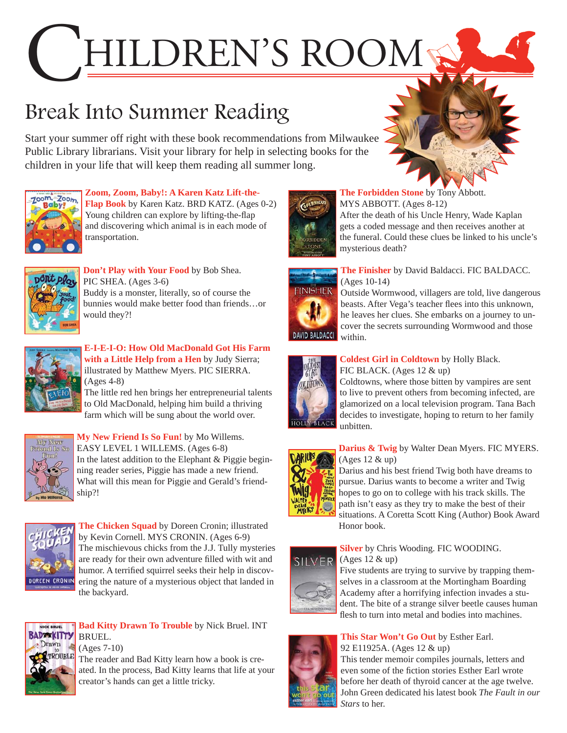# HILDREN'S ROOM

## Break Into Summer Reading

Start your summer off right with these book recommendations from Milwaukee Public Library librarians. Visit your library for help in selecting books for the children in your life that will keep them reading all summer long.



**Zoom, Zoom, Baby!: A Karen Katz Lift-the-Flap Book** by Karen Katz. BRD KATZ. (Ages 0-2) Young children can explore by lifting-the-flap [and discovering which animal is in each mode of](https://encore.mcfls.org/iii/encore/record/C__Rb3721495)  transportation.



**Don't Play with Your Food** by Bob Shea. PIC SHEA. (Ages 3-6) Buddy is a monster, literally, so of course the [bunnies would make better food than friends…or](https://encore.mcfls.org/iii/encore/record/C__Rb3724879)  would they?!



**E-I-E-I-O: How Old MacDonald Got His Farm with a Little Help from a Hen** by Judy Sierra; illustrated by Matthew Myers. PIC SIERRA. (Ages 4-8)

[The little red hen brings her entrepreneurial talents](https://encore.mcfls.org/iii/encore/record/C__Rb3725076)  to Old MacDonald, helping him build a thriving farm which will be sung about the world over.



**My New Friend Is So Fun!** by Mo Willems. EASY LEVEL 1 WILLEMS. (Ages 6-8) [In the latest addition to the Elephant & Piggie begin](https://encore.mcfls.org/iii/encore/record/C__Rb3737682)ning reader series, Piggie has made a new friend. What will this mean for Piggie and Gerald's friendship?!



**The Chicken Squad** by Doreen Cronin; illustrated by Kevin Cornell. MYS CRONIN. (Ages 6-9) [The mischievous chicks from the J.J. Tully mysteries](https://encore.mcfls.org/iii/encore/record/C__Rb3739688)  are ready for their own adventure filled with wit and humor. A terrified squirrel seeks their help in discovering the nature of a mysterious object that landed in the backyard.



## **Bad Kitty Drawn To Trouble** by Nick Bruel. INT BRUEL.

(Ages 7-10) The reader and Bad Kitty learn how a book is cre[ated. In the process, Bad Kitty learns that life at your](https://encore.mcfls.org/iii/encore/record/C__Rb3708270)  creator's hands can get a little tricky.



#### **The Forbidden Stone** by Tony Abbott. MYS ABBOTT. (Ages 8-12)

After the death of his Uncle Henry, Wade Kaplan gets a coded message and then receives another at [the funeral. Could these clues be linked to his uncle's](https://encore.mcfls.org/iii/encore/record/C__Rb3721530)  mysterious death?



#### **The Finisher** by David Baldacci. FIC BALDACC. (Ages 10-14)

[Outside Wormwood, villagers are told, live dangerous](https://encore.mcfls.org/iii/encore/record/C__Rb3723865)  beasts. After Vega's teacher flees into this unknown, he leaves her clues. She embarks on a journey to uncover the secrets surrounding Wormwood and those within.



#### **Coldest Girl in Coldtown** by Holly Black. FIC BLACK. (Ages 12 & up)

Coldtowns, where those bitten by vampires are sent to live to prevent others from becoming infected, are [glamorized on a local television program. Tana Bach](https://encore.mcfls.org/iii/encore/record/C__Rb3686742)  decides to investigate, hoping to return to her family unbitten.



#### **Darius & Twig** by Walter Dean Myers. FIC MYERS. (Ages 12 & up)

Darius and his best friend Twig both have dreams to pursue. Darius wants to become a writer and Twig hopes to go on to college with his track skills. The path isn't easy as they try to make the best of their [situations. A Coretta Scott King \(Author\) Book Award](https://encore.mcfls.org/iii/encore/record/C__Rb3661096)  Honor book.



#### **Silver** by Chris Wooding. FIC WOODING. (Ages 12 & up)

Five students are trying to survive by trapping themselves in a classroom at the Mortingham Boarding Academy after a horrifying infection invades a stu[dent. The bite of a strange silver beetle causes human](https://encore.mcfls.org/iii/encore/record/C__Rb3730999)  flesh to turn into metal and bodies into machines.



#### **This Star Won't Go Out** by Esther Earl. 92 E11925A. (Ages 12 & up)

This tender memoir compiles journals, letters and even some of the fiction stories Esther Earl wrote [before her death of thyroid cancer at the age twelve.](https://encore.mcfls.org/iii/encore/record/C__Rb3724537)  John Green dedicated his latest book *The Fault in our Stars* to her.